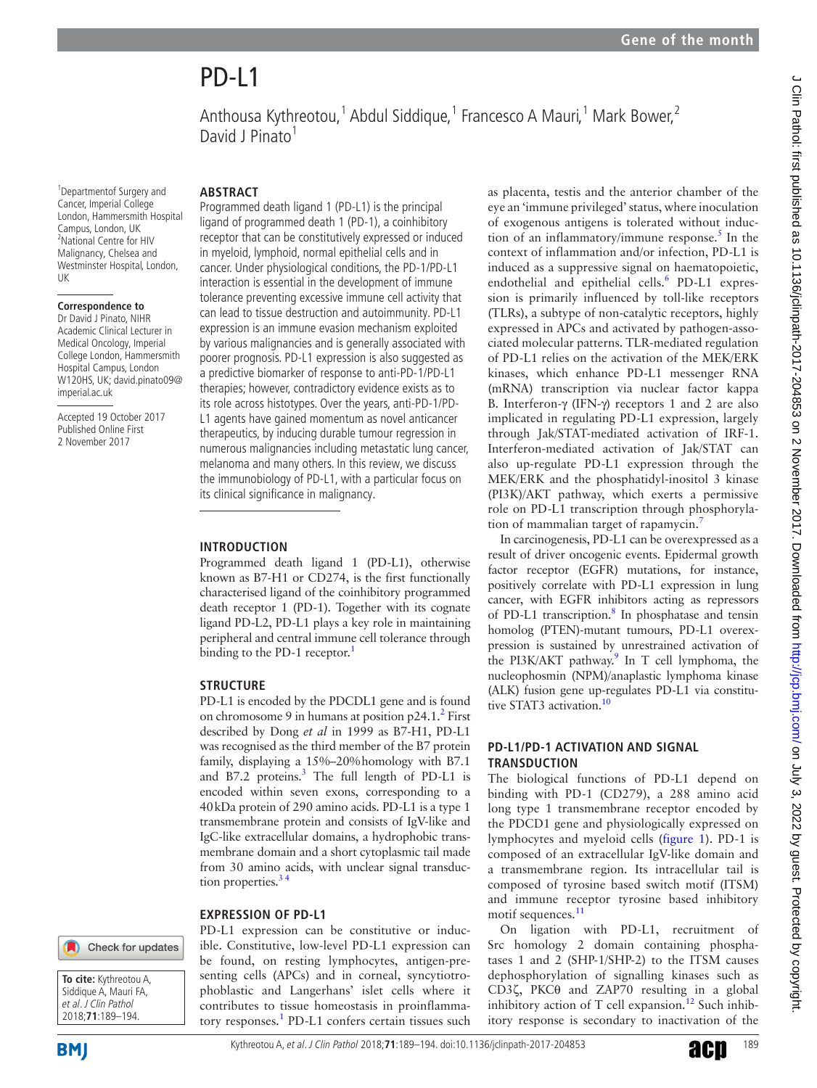<sup>1</sup> Departmentof Surgery and Cancer, Imperial College London, Hammersmith Hospital Campus, London, UK 2 National Centre for HIV Malignancy, Chelsea and Westminster Hospital, London, UK

#### **Correspondence to**

Dr David J Pinato, NIHR Academic Clinical Lecturer in Medical Oncology, Imperial College London, Hammersmith Hospital Campus, London W120HS, UK; david.pinato09@ imperial.ac.uk

Accepted 19 October 2017 Published Online First 2 November 2017

#### **Abstract**

David J Pinato<sup>1</sup>

Programmed death ligand 1 (PD-L1) is the principal ligand of programmed death 1 (PD-1), a coinhibitory receptor that can be constitutively expressed or induced in myeloid, lymphoid, normal epithelial cells and in cancer. Under physiological conditions, the PD-1/PD-L1 interaction is essential in the development of immune tolerance preventing excessive immune cell activity that can lead to tissue destruction and autoimmunity. PD-L1 expression is an immune evasion mechanism exploited by various malignancies and is generally associated with poorer prognosis. PD-L1 expression is also suggested as a predictive biomarker of response to anti-PD-1/PD-L1 therapies; however, contradictory evidence exists as to its role across histotypes. Over the years, anti-PD-1/PD-L1 agents have gained momentum as novel anticancer therapeutics, by inducing durable tumour regression in numerous malignancies including metastatic lung cancer, melanoma and many others. In this review, we discuss the immunobiology of PD-L1, with a particular focus on its clinical significance in malignancy.

Anthousa Kythreotou,<sup>1</sup> Abdul Siddique,<sup>1</sup> Francesco A Mauri,<sup>1</sup> Mark Bower,<sup>2</sup>

#### **Introduction**

Programmed death ligand 1 (PD-L1), otherwise known as B7-H1 or CD274, is the first functionally characterised ligand of the coinhibitory programmed death receptor 1 (PD-1). Together with its cognate ligand PD-L2, PD-L1 plays a key role in maintaining peripheral and central immune cell tolerance through binding to the PD-[1](#page-3-0) receptor.<sup>1</sup>

#### **Structure**

PD-L1 is encoded by the PDCDL1 gene and is found on chromosome 9 in humans at position  $p24.1$ <sup>2</sup> First described by Dong *et al* in 1999 as B7-H1, PD-L1 was recognised as the third member of the B7 protein family, displaying a 15%–20%homology with B7.1 and B7.2 proteins.<sup>3</sup> The full length of PD-L1 is encoded within seven exons, corresponding to a 40kDa protein of 290 amino acids. PD-L1 is a type 1 transmembrane protein and consists of IgV-like and IgC-like extracellular domains, a hydrophobic transmembrane domain and a short cytoplasmic tail made from 30 amino acids, with unclear signal transduction properties. $34$ 

#### **Expression of PD-L1**

Check for updates **To cite:** Kythreotou A,



**BMI** 

PD-L1 expression can be constitutive or inducible. Constitutive, low-level PD-L1 expression can be found, on resting lymphocytes, antigen-presenting cells (APCs) and in corneal, syncytiotrophoblastic and Langerhans' islet cells where it contributes to tissue homeostasis in proinflamma-tory responses.<sup>[1](#page-3-0)</sup> PD-L1 confers certain tissues such as placenta, testis and the anterior chamber of the eye an 'immune privileged' status, where inoculation of exogenous antigens is tolerated without induction of an inflammatory/immune response. $5$  In the context of inflammation and/or infection, PD-L1 is induced as a suppressive signal on haematopoietic, endothelial and epithelial cells.<sup>[6](#page-3-4)</sup> PD-L1 expression is primarily influenced by toll-like receptors (TLRs), a subtype of non-catalytic receptors, highly expressed in APCs and activated by pathogen-associated molecular patterns. TLR-mediated regulation of PD-L1 relies on the activation of the MEK/ERK kinases, which enhance PD-L1 messenger RNA (mRNA) transcription via nuclear factor kappa B. Interferon-γ (IFN-γ) receptors 1 and 2 are also implicated in regulating PD-L1 expression, largely through Jak/STAT-mediated activation of IRF-1. Interferon-mediated activation of Jak/STAT can also up-regulate PD-L1 expression through the MEK/ERK and the phosphatidyl-inositol 3 kinase (PI3K)/AKT pathway, which exerts a permissive role on PD-L1 transcription through phosphorylation of mammalian target of rapamycin.[7](#page-3-5)

In carcinogenesis, PD-L1 can be overexpressed as a result of driver oncogenic events. Epidermal growth factor receptor (EGFR) mutations, for instance, positively correlate with PD-L1 expression in lung cancer, with EGFR inhibitors acting as repressors of PD-L1 transcription.<sup>[8](#page-4-0)</sup> In phosphatase and tensin homolog (PTEN)-mutant tumours, PD-L1 overexpression is sustained by unrestrained activation of the PI3K/AKT pathway.<sup>9</sup> In T cell lymphoma, the nucleophosmin (NPM)/anaplastic lymphoma kinase (ALK) fusion gene up-regulates PD-L1 via constitu-tive STAT3 activation.<sup>[10](#page-4-2)</sup>

### **PD-L1/PD-1 ACTIVATION AND SIGNAL transduction**

The biological functions of PD-L1 depend on binding with PD-1 (CD279), a 288 amino acid long type 1 transmembrane receptor encoded by the PDCD1 gene and physiologically expressed on lymphocytes and myeloid cells [\(figure](#page-1-0) 1). PD-1 is composed of an extracellular IgV-like domain and a transmembrane region. Its intracellular tail is composed of tyrosine based switch motif (ITSM) and immune receptor tyrosine based inhibitory motif sequences.<sup>[11](#page-4-3)</sup>

On ligation with PD-L1, recruitment of Src homology 2 domain containing phosphatases 1 and 2 (SHP-1/SHP-2) to the ITSM causes dephosphorylation of signalling kinases such as CD3ζ, PKCθ and ZAP70 resulting in a global inhibitory action of T cell expansion.<sup>12</sup> Such inhibitory response is secondary to inactivation of the

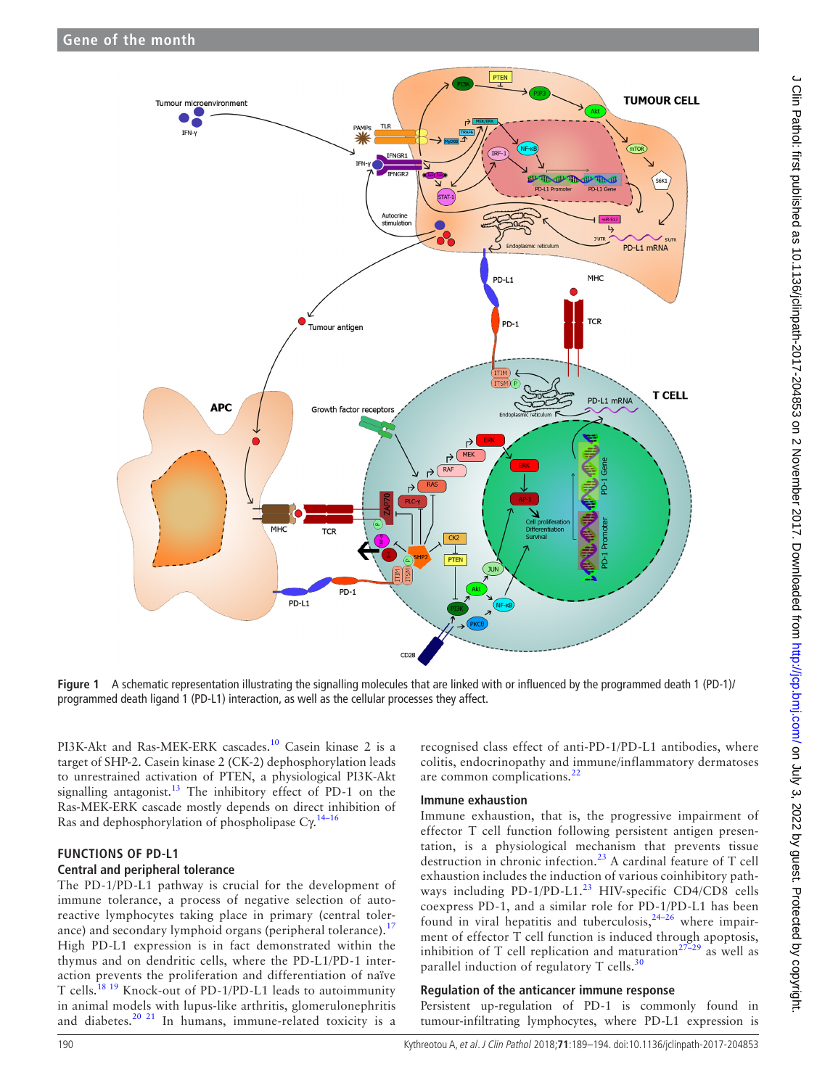

<span id="page-1-0"></span>**Figure 1** A schematic representation illustrating the signalling molecules that are linked with or influenced by the programmed death 1 (PD-1)/ programmed death ligand 1 (PD-L1) interaction, as well as the cellular processes they affect.

PI3K-Akt and Ras-MEK-ERK cascades.<sup>10</sup> Casein kinase 2 is a target of SHP-2. Casein kinase 2 (CK-2) dephosphorylation leads to unrestrained activation of PTEN, a physiological PI3K-Akt signalling antagonist. $^{13}$  The inhibitory effect of PD-1 on the Ras-MEK-ERK cascade mostly depends on direct inhibition of Ras and dephosphorylation of phospholipase  $C\gamma^{14-16}$ 

# **Functions of PD-L1 Central and peripheral tolerance**

The PD-1/PD-L1 pathway is crucial for the development of immune tolerance, a process of negative selection of autoreactive lymphocytes taking place in primary (central tolerance) and secondary lymphoid organs (peripheral tolerance).<sup>1</sup> High PD-L1 expression is in fact demonstrated within the thymus and on dendritic cells, where the PD-L1/PD-1 interaction prevents the proliferation and differentiation of naïve T cells.[18 19](#page-4-8) Knock-out of PD-1/PD-L1 leads to autoimmunity in animal models with lupus-like arthritis, glomerulonephritis and diabetes.<sup>[20 21](#page-4-9)</sup> In humans, immune-related toxicity is a

recognised class effect of anti-PD-1/PD-L1 antibodies, where colitis, endocrinopathy and immune/inflammatory dermatoses are common complications.<sup>[22](#page-4-10)</sup>

# **Immune exhaustion**

Immune exhaustion, that is, the progressive impairment of effector T cell function following persistent antigen presentation, is a physiological mechanism that prevents tissue destruction in chronic infection.<sup>[23](#page-4-11)</sup> A cardinal feature of T cell exhaustion includes the induction of various coinhibitory pathways including PD-1/PD-L1.<sup>23</sup> HIV-specific CD4/CD8 cells coexpress PD-1, and a similar role for PD-1/PD-L1 has been found in viral hepatitis and tuberculosis,<sup>[24–26](#page-4-12)</sup> where impairment of effector  $\hat{T}$  cell function is induced through apoptosis, inhibition of T cell replication and maturation<sup>27–29</sup> as well as parallel induction of regulatory  $T$  cells.<sup>[30](#page-4-14)</sup>

# **Regulation of the anticancer immune response**

Persistent up-regulation of PD-1 is commonly found in tumour-infiltrating lymphocytes, where PD-L1 expression is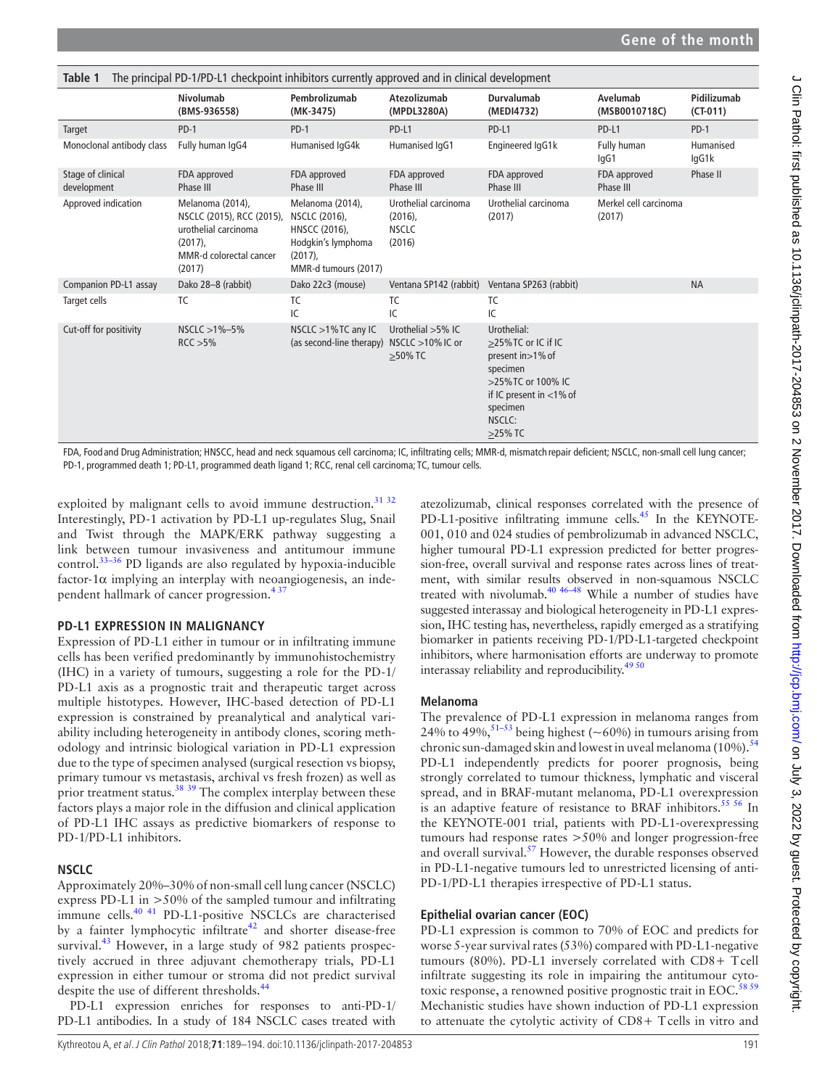<span id="page-2-0"></span>

| The principal PD-1/PD-L1 checkpoint inhibitors currently approved and in clinical development<br>Table 1 |                                                                                                                          |                                                                                                                |                                                              |                                                                                                                                                              |                                 |                           |
|----------------------------------------------------------------------------------------------------------|--------------------------------------------------------------------------------------------------------------------------|----------------------------------------------------------------------------------------------------------------|--------------------------------------------------------------|--------------------------------------------------------------------------------------------------------------------------------------------------------------|---------------------------------|---------------------------|
|                                                                                                          | Nivolumab<br>(BMS-936558)                                                                                                | Pembrolizumab<br>(MK-3475)                                                                                     | Atezolizumab<br>(MPDL3280A)                                  | Durvalumab<br>(MEDI4732)                                                                                                                                     | Avelumab<br>(MSB0010718C)       | Pidilizumab<br>$(CT-011)$ |
| Target                                                                                                   | $PD-1$                                                                                                                   | $PD-1$                                                                                                         | PD-L1                                                        | PD-L1                                                                                                                                                        | PD-L1                           | $PD-1$                    |
| Monoclonal antibody class                                                                                | Fully human IgG4                                                                                                         | Humanised IqG4k                                                                                                | Humanised IqG1                                               | Engineered IgG1k                                                                                                                                             | Fully human<br>lgG1             | Humanised<br>lgG1k        |
| Stage of clinical<br>development                                                                         | FDA approved<br>Phase III                                                                                                | FDA approved<br>Phase III                                                                                      | FDA approved<br>Phase III                                    | FDA approved<br>Phase III                                                                                                                                    | FDA approved<br>Phase III       | Phase II                  |
| Approved indication                                                                                      | Melanoma (2014),<br>NSCLC (2015), RCC (2015),<br>urothelial carcinoma<br>$(2017)$ ,<br>MMR-d colorectal cancer<br>(2017) | Melanoma (2014),<br>NSCLC (2016),<br>HNSCC (2016),<br>Hodgkin's lymphoma<br>$(2017)$ ,<br>MMR-d tumours (2017) | Urothelial carcinoma<br>$(2016)$ ,<br><b>NSCLC</b><br>(2016) | Urothelial carcinoma<br>(2017)                                                                                                                               | Merkel cell carcinoma<br>(2017) |                           |
| Companion PD-L1 assay                                                                                    | Dako 28-8 (rabbit)                                                                                                       | Dako 22c3 (mouse)                                                                                              | Ventana SP142 (rabbit)                                       | Ventana SP263 (rabbit)                                                                                                                                       |                                 | <b>NA</b>                 |
| Target cells                                                                                             | TC                                                                                                                       | TC.<br>IC                                                                                                      | TC<br>IC                                                     | TC<br>IC                                                                                                                                                     |                                 |                           |
| Cut-off for positivity                                                                                   | $NSCLC > 1% - 5%$<br>RCC > 5%                                                                                            | NSCLC $>1\%$ TC any IC<br>(as second-line therapy) NSCLC >10% IC or                                            | Urothelial $>5\%$ IC<br>>50% TC                              | Urothelial:<br>>25% TC or IC if IC<br>present in > 1% of<br>specimen<br>>25% TC or 100% IC<br>if IC present in $<$ 1% of<br>specimen<br>NSCLC:<br>$>25\%$ TC |                                 |                           |

FDA, Food and Drug Administration; HNSCC, head and neck squamous cell carcinoma; IC, infiltrating cells; MMR-d, mismatch repair deficient; NSCLC, non-small cell lung cancer; PD-1, programmed death 1; PD-L1, programmed death ligand 1; RCC, renal cell carcinoma; TC, tumour cells.

exploited by malignant cells to avoid immune destruction.<sup>31 32</sup> Interestingly, PD-1 activation by PD-L1 up-regulates Slug, Snail and Twist through the MAPK/ERK pathway suggesting a link between tumour invasiveness and antitumour immune control.[33–36](#page-4-16) PD ligands are also regulated by hypoxia-inducible factor-1 $\alpha$  implying an interplay with neoangiogenesis, an independent hallmark of cancer progression.<sup>43</sup>

# **PD-L1 expression in malignancy**

Expression of PD-L1 either in tumour or in infiltrating immune cells has been verified predominantly by immunohistochemistry (IHC) in a variety of tumours, suggesting a role for the PD-1/ PD-L1 axis as a prognostic trait and therapeutic target across multiple histotypes. However, IHC-based detection of PD-L1 expression is constrained by preanalytical and analytical variability including heterogeneity in antibody clones, scoring methodology and intrinsic biological variation in PD-L1 expression due to the type of specimen analysed (surgical resection vs biopsy, primary tumour vs metastasis, archival vs fresh frozen) as well as prior treatment status.<sup>[38](#page-4-17)</sup> <sup>[39](#page-4-18)</sup> The complex interplay between these factors plays a major role in the diffusion and clinical application of PD-L1 IHC assays as predictive biomarkers of response to PD-1/PD-L1 inhibitors.

# **NSCLC**

Approximately 20%–30% of non-small cell lung cancer (NSCLC) express PD-L1 in >50% of the sampled tumour and infiltrating immune cells.<sup>40 41</sup> PD-L1-positive NSCLCs are characterised by a fainter lymphocytic infiltrate $42$  and shorter disease-free survival.<sup>43</sup> However, in a large study of 982 patients prospectively accrued in three adjuvant chemotherapy trials, PD-L1 expression in either tumour or stroma did not predict survival despite the use of different thresholds.<sup>[44](#page-4-22)</sup>

PD-L1 expression enriches for responses to anti-PD-1/ PD-L1 antibodies. In a study of 184 NSCLC cases treated with

atezolizumab, clinical responses correlated with the presence of PD-L1-positive infiltrating immune cells.<sup>[45](#page-4-23)</sup> In the KEYNOTE-001, 010 and 024 studies of pembrolizumab in advanced NSCLC, higher tumoural PD-L1 expression predicted for better progression-free, overall survival and response rates across lines of treatment, with similar results observed in non-squamous NSCLC treated with nivolumab.<sup>40 46–48</sup> While a number of studies have suggested interassay and biological heterogeneity in PD-L1 expression, IHC testing has, nevertheless, rapidly emerged as a stratifying biomarker in patients receiving PD-1/PD-L1-targeted checkpoint inhibitors, where harmonisation efforts are underway to promote interassay reliability and reproducibility. $49\frac{50}{2}$ 

# **Melanoma**

The prevalence of PD-L1 expression in melanoma ranges from 24% to 49%,  $51-53$  being highest ( $\sim 60\%$ ) in tumours arising from chronic sun-damaged skin and lowest in uveal melanoma (10%).<sup>[54](#page-4-26)</sup> PD-L1 independently predicts for poorer prognosis, being strongly correlated to tumour thickness, lymphatic and visceral spread, and in BRAF-mutant melanoma, PD-L1 overexpression is an adaptive feature of resistance to BRAF inhibitors.<sup>55 56</sup> In the KEYNOTE-001 trial, patients with PD-L1-overexpressing tumours had response rates >50% and longer progression-free and overall survival.<sup>57</sup> However, the durable responses observed in PD-L1-negative tumours led to unrestricted licensing of anti-PD-1/PD-L1 therapies irrespective of PD-L1 status.

# **Epithelial ovarian cancer (EOC)**

PD-L1 expression is common to 70% of EOC and predicts for worse 5-year survival rates (53%) compared with PD-L1-negative tumours (80%). PD-L1 inversely correlated with CD8+ Tcell infiltrate suggesting its role in impairing the antitumour cyto-toxic response, a renowned positive prognostic trait in EOC.<sup>[58 59](#page-4-29)</sup> Mechanistic studies have shown induction of PD-L1 expression to attenuate the cytolytic activity of CD8+ Tcells in vitro and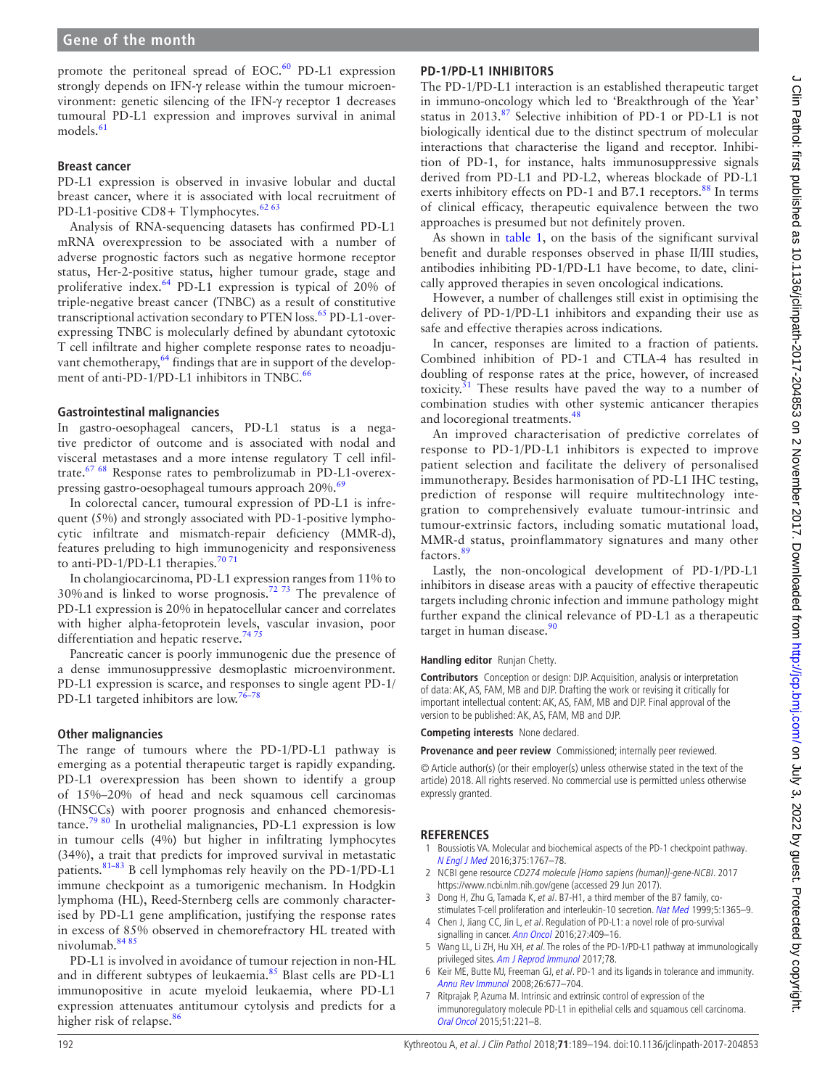promote the peritoneal spread of EOC. $60$  PD-L1 expression strongly depends on IFN-γ release within the tumour microenvironment: genetic silencing of the IFN-γ receptor 1 decreases tumoural PD-L1 expression and improves survival in animal  $models.<sup>61</sup>$  $models.<sup>61</sup>$  $models.<sup>61</sup>$ 

#### **Breast cancer**

PD-L1 expression is observed in invasive lobular and ductal breast cancer, where it is associated with local recruitment of PD-L1-positive CD8+ Tlymphocytes. $6263$ 

Analysis of RNA-sequencing datasets has confirmed PD-L1 mRNA overexpression to be associated with a number of adverse prognostic factors such as negative hormone receptor status, Her-2-positive status, higher tumour grade, stage and proliferative index.<sup>64</sup> PD-L1 expression is typical of 20% of triple-negative breast cancer (TNBC) as a result of constitutive transcriptional activation secondary to PTEN loss.<sup>[65](#page-4-34)</sup> PD-L1-overexpressing TNBC is molecularly defined by abundant cytotoxic T cell infiltrate and higher complete response rates to neoadjuvant chemotherapy,<sup>64</sup> findings that are in support of the development of anti-PD-1/PD-L1 inhibitors in TNBC.<sup>6</sup>

### **Gastrointestinal malignancies**

In gastro-oesophageal cancers, PD-L1 status is a negative predictor of outcome and is associated with nodal and visceral metastases and a more intense regulatory T cell infiltrate[.67 68](#page-4-36) Response rates to pembrolizumab in PD-L1-overex-pressing gastro-oesophageal tumours approach 20%.<sup>[69](#page-5-0)</sup>

In colorectal cancer, tumoural expression of PD-L1 is infrequent (5%) and strongly associated with PD-1-positive lymphocytic infiltrate and mismatch-repair deficiency (MMR-d), features preluding to high immunogenicity and responsiveness to anti-PD-1/PD-L1 therapies. $707$ 

In cholangiocarcinoma, PD-L1 expression ranges from 11% to 30%and is linked to worse prognosis[.72 73](#page-5-2) The prevalence of PD-L1 expression is 20% in hepatocellular cancer and correlates with higher alpha-fetoprotein levels, vascular invasion, poor differentiation and hepatic reserve.<sup>7475</sup>

Pancreatic cancer is poorly immunogenic due the presence of a dense immunosuppressive desmoplastic microenvironment. PD-L1 expression is scarce, and responses to single agent PD-1/ PD-L1 targeted inhibitors are low.<sup>76</sup>

### **Other malignancies**

The range of tumours where the PD-1/PD-L1 pathway is emerging as a potential therapeutic target is rapidly expanding. PD-L1 overexpression has been shown to identify a group of 15%–20% of head and neck squamous cell carcinomas (HNSCCs) with poorer prognosis and enhanced chemoresistance.[79 80](#page-5-5) In urothelial malignancies, PD-L1 expression is low in tumour cells (4%) but higher in infiltrating lymphocytes (34%), a trait that predicts for improved survival in metastatic patients.[81–83](#page-5-6) B cell lymphomas rely heavily on the PD-1/PD-L1 immune checkpoint as a tumorigenic mechanism. In Hodgkin lymphoma (HL), Reed-Sternberg cells are commonly characterised by PD-L1 gene amplification, justifying the response rates in excess of 85% observed in chemorefractory HL treated with nivolumab.[84 85](#page-5-7)

PD-L1 is involved in avoidance of tumour rejection in non-HL and in different subtypes of leukaemia.<sup>85</sup> Blast cells are PD-L1 immunopositive in acute myeloid leukaemia, where PD-L1 expression attenuates antitumour cytolysis and predicts for a higher risk of relapse.<sup>[86](#page-5-9)</sup>

### **PD-1/PD-L1 inhibitors**

The PD-1/PD-L1 interaction is an established therapeutic target in immuno-oncology which led to 'Breakthrough of the Year' status in 2013.<sup>[87](#page-5-10)</sup> Selective inhibition of PD-1 or PD-L1 is not biologically identical due to the distinct spectrum of molecular interactions that characterise the ligand and receptor. Inhibition of PD-1, for instance, halts immunosuppressive signals derived from PD-L1 and PD-L2, whereas blockade of PD-L1 exerts inhibitory effects on PD-1 and B7.1 receptors.<sup>[88](#page-5-11)</sup> In terms of clinical efficacy, therapeutic equivalence between the two approaches is presumed but not definitely proven.

As shown in [table](#page-2-0) 1, on the basis of the significant survival benefit and durable responses observed in phase II/III studies, antibodies inhibiting PD-1/PD-L1 have become, to date, clinically approved therapies in seven oncological indications.

However, a number of challenges still exist in optimising the delivery of PD-1/PD-L1 inhibitors and expanding their use as safe and effective therapies across indications.

In cancer, responses are limited to a fraction of patients. Combined inhibition of PD-1 and CTLA-4 has resulted in doubling of response rates at the price, however, of increased toxicity. $51$  These results have paved the way to a number of combination studies with other systemic anticancer therapies and locoregional treatments.<sup>[48](#page-4-37)</sup>

An improved characterisation of predictive correlates of response to PD-1/PD-L1 inhibitors is expected to improve patient selection and facilitate the delivery of personalised immunotherapy. Besides harmonisation of PD-L1 IHC testing, prediction of response will require multitechnology integration to comprehensively evaluate tumour-intrinsic and tumour-extrinsic factors, including somatic mutational load, MMR-d status, proinflammatory signatures and many other factors.[89](#page-5-12)

Lastly, the non-oncological development of PD-1/PD-L1 inhibitors in disease areas with a paucity of effective therapeutic targets including chronic infection and immune pathology might further expand the clinical relevance of PD-L1 as a therapeutic target in human disease.<sup>[90](#page-5-13)</sup>

#### **Handling editor** Runjan Chetty.

**Contributors** Conception or design: DJP. Acquisition, analysis or interpretation of data: AK, AS, FAM, MB and DJP. Drafting the work or revising it critically for important intellectual content: AK, AS, FAM, MB and DJP. Final approval of the version to be published: AK, AS, FAM, MB and DJP.

**Competing interests** None declared.

Provenance and peer review Commissioned; internally peer reviewed.

© Article author(s) (or their employer(s) unless otherwise stated in the text of the article) 2018. All rights reserved. No commercial use is permitted unless otherwise expressly granted.

### **References**

- <span id="page-3-0"></span>Boussiotis VA. Molecular and biochemical aspects of the PD-1 checkpoint pathway. [N Engl J Med](http://dx.doi.org/10.1056/NEJMra1514296) 2016;375:1767–78.
- <span id="page-3-1"></span>2 NCBI gene resource CD274 molecule [Homo sapiens (human)]-gene-NCBI. 2017 <https://www.ncbi.nlm.nih.gov/gene> (accessed 29 Jun 2017).
- <span id="page-3-2"></span>3 Dong H, Zhu G, Tamada K, et al. B7-H1, a third member of the B7 family, costimulates T-cell proliferation and interleukin-10 secretion. [Nat Med](http://dx.doi.org/10.1038/70932) 1999;5:1365–9.
- <span id="page-3-6"></span>4 Chen J, Jiang CC, Jin L, et al. Regulation of PD-L1: a novel role of pro-survival signalling in cancer. [Ann Oncol](http://dx.doi.org/10.1093/annonc/mdv615) 2016;27:409-16.
- <span id="page-3-3"></span>5 Wang LL, Li ZH, Hu XH, et al. The roles of the PD-1/PD-L1 pathway at immunologically privileged sites. [Am J Reprod Immunol](http://dx.doi.org/10.1111/aji.12710) 2017;78.
- <span id="page-3-4"></span>6 Keir ME, Butte MJ, Freeman GJ, et al. PD-1 and its ligands in tolerance and immunity. [Annu Rev Immunol](http://dx.doi.org/10.1146/annurev.immunol.26.021607.090331) 2008;26:677–704.
- <span id="page-3-5"></span>7 Ritprajak P, Azuma M. Intrinsic and extrinsic control of expression of the immunoregulatory molecule PD-L1 in epithelial cells and squamous cell carcinoma. [Oral Oncol](http://dx.doi.org/10.1016/j.oraloncology.2014.11.014) 2015;51:221–8.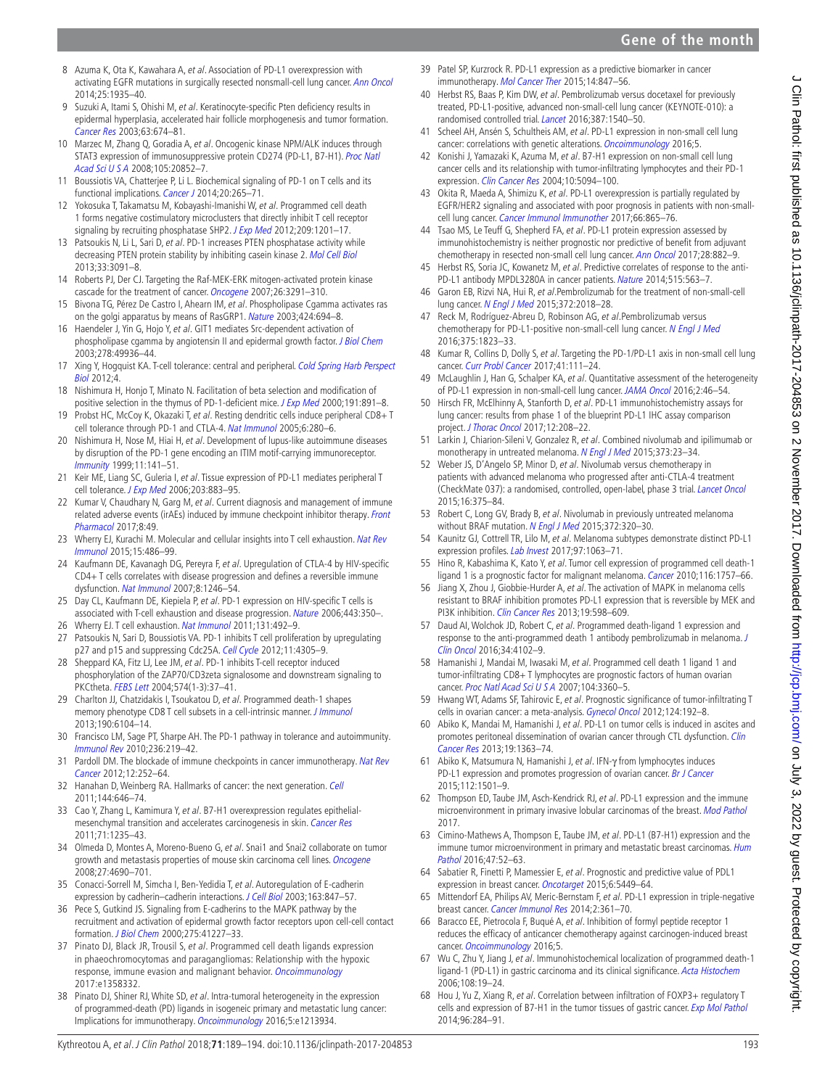<span id="page-4-1"></span>2014;25:1935–40. 9 Suzuki A, Itami S, Ohishi M, et al. Keratinocyte-specific Pten deficiency results in epidermal hyperplasia, accelerated hair follicle morphogenesis and tumor formation. [Cancer Res](http://www.ncbi.nlm.nih.gov/pubmed/12566313) 2003;63:674–81.

<span id="page-4-0"></span>8 Azuma K, Ota K, Kawahara A, et al. Association of PD-L1 overexpression with activating EGFR mutations in surgically resected nonsmall-cell lung cancer. [Ann Oncol](http://dx.doi.org/10.1093/annonc/mdu242)

- <span id="page-4-2"></span>10 Marzec M, Zhang Q, Goradia A, et al. Oncogenic kinase NPM/ALK induces through STAT3 expression of immunosuppressive protein CD274 (PD-L1, B7-H1). [Proc Natl](http://dx.doi.org/10.1073/pnas.0810958105)  [Acad Sci U S A](http://dx.doi.org/10.1073/pnas.0810958105) 2008;105:20852–7.
- <span id="page-4-3"></span>11 Boussiotis VA, Chatterjee P, Li L. Biochemical signaling of PD-1 on T cells and its functional implications. [Cancer J](http://dx.doi.org/10.1097/PPO.0000000000000059) 2014;20:265–71.
- <span id="page-4-4"></span>12 Yokosuka T, Takamatsu M, Kobayashi-Imanishi W, et al. Programmed cell death 1 forms negative costimulatory microclusters that directly inhibit T cell receptor signaling by recruiting phosphatase SHP2. [J Exp Med](http://dx.doi.org/10.1084/jem.20112741) 2012;209:1201-17.
- <span id="page-4-5"></span>13 Patsoukis N, Li L, Sari D, et al. PD-1 increases PTEN phosphatase activity while decreasing PTEN protein stability by inhibiting casein kinase 2. [Mol Cell Biol](http://dx.doi.org/10.1128/MCB.00319-13) 2013;33:3091–8.
- <span id="page-4-6"></span>14 Roberts PJ, Der CJ. Targeting the Raf-MEK-ERK mitogen-activated protein kinase cascade for the treatment of cancer. [Oncogene](http://dx.doi.org/10.1038/sj.onc.1210422) 2007;26:3291–310.
- 15 Bivona TG, Pérez De Castro I, Ahearn IM, et al. Phospholipase Cgamma activates ras on the golgi apparatus by means of RasGRP1. [Nature](http://dx.doi.org/10.1038/nature01806) 2003;424:694-8.
- 16 Haendeler J, Yin G, Hojo Y, et al. GIT1 mediates Src-dependent activation of phospholipase cgamma by angiotensin II and epidermal growth factor. *[J Biol Chem](http://dx.doi.org/10.1074/jbc.M307317200)* 2003;278:49936–44.
- <span id="page-4-7"></span>17 Xing Y, Hogguist KA. T-cell tolerance: central and peripheral. Cold Spring Harb Perspect [Biol](http://dx.doi.org/10.1101/cshperspect.a006957) 2012;4.
- <span id="page-4-8"></span>18 Nishimura H, Honjo T, Minato N. Facilitation of beta selection and modification of positive selection in the thymus of PD-1-deficient mice. [J Exp Med](http://dx.doi.org/10.1084/jem.191.5.891) 2000;191:891-8.
- 19 Probst HC, McCoy K, Okazaki T, et al. Resting dendritic cells induce peripheral CD8+ T cell tolerance through PD-1 and CTLA-4. [Nat Immunol](http://dx.doi.org/10.1038/ni1165) 2005;6:280–6.
- <span id="page-4-9"></span>20 Nishimura H, Nose M, Hiai H, et al. Development of lupus-like autoimmune diseases by disruption of the PD-1 gene encoding an ITIM motif-carrying immunoreceptor. [Immunity](http://dx.doi.org/10.1016/S1074-7613(00)80089-8) 1999;11:141–51.
- 21 Keir ME, Liang SC, Guleria I, et al. Tissue expression of PD-L1 mediates peripheral T cell tolerance. [J Exp Med](http://dx.doi.org/10.1084/jem.20051776) 2006;203:883-95.
- <span id="page-4-10"></span>22 Kumar V, Chaudhary N, Garg M, et al. Current diagnosis and management of immune related adverse events (irAEs) induced by immune checkpoint inhibitor therapy. Front [Pharmacol](http://dx.doi.org/10.3389/fphar.2017.00049) 2017;8:49.
- <span id="page-4-11"></span>23 Wherry EJ, Kurachi M. Molecular and cellular insights into T cell exhaustion. Nat Rev [Immunol](http://dx.doi.org/10.1038/nri3862) 2015;15:486–99.
- <span id="page-4-12"></span>24 Kaufmann DE, Kavanagh DG, Pereyra F, et al. Upregulation of CTLA-4 by HIV-specific CD4+ T cells correlates with disease progression and defines a reversible immune dysfunction. [Nat Immunol](http://dx.doi.org/10.1038/ni1515) 2007;8:1246–54.
- 25 Day CL, Kaufmann DE, Kiepiela P, et al. PD-1 expression on HIV-specific T cells is associated with T-cell exhaustion and disease progression. [Nature](http://dx.doi.org/10.1038/nature05115) 2006;443:350-.
- 26 Wherry EJ. T cell exhaustion. [Nat Immunol](http://dx.doi.org/10.1038/ni.2035) 2011;131:492-9.
- <span id="page-4-13"></span>27 Patsoukis N, Sari D, Boussiotis VA. PD-1 inhibits T cell proliferation by upregulating p27 and p15 and suppressing Cdc25A. [Cell Cycle](http://dx.doi.org/10.4161/cc.22135) 2012;11:4305–9.
- 28 Sheppard KA, Fitz LJ, Lee JM, et al. PD-1 inhibits T-cell receptor induced phosphorylation of the ZAP70/CD3zeta signalosome and downstream signaling to PKCtheta. [FEBS Lett](http://dx.doi.org/10.1016/j.febslet.2004.07.083) 2004;574(1-3):37–41.
- 29 Charlton JJ, Chatzidakis I, Tsoukatou D, et al. Programmed death-1 shapes memory phenotype CD8 T cell subsets in a cell-intrinsic manner. *[J Immunol](http://dx.doi.org/10.4049/jimmunol.1201617)* 2013;190:6104–14.
- <span id="page-4-14"></span>30 Francisco LM, Sage PT, Sharpe AH. The PD-1 pathway in tolerance and autoimmunity. [Immunol Rev](http://dx.doi.org/10.1111/j.1600-065X.2010.00923.x) 2010;236:219–42.
- <span id="page-4-15"></span>31 Pardoll DM. The blockade of immune checkpoints in cancer immunotherapy. Nat Rev [Cancer](http://dx.doi.org/10.1038/nrc3239) 2012;12:252–64.
- 32 Hanahan D, Weinberg RA. Hallmarks of cancer: the next generation. [Cell](http://dx.doi.org/10.1016/j.cell.2011.02.013) 2011;144:646–74.
- <span id="page-4-16"></span>33 Cao Y, Zhang L, Kamimura Y, et al. B7-H1 overexpression regulates epithelialmesenchymal transition and accelerates carcinogenesis in skin. [Cancer Res](http://dx.doi.org/10.1158/0008-5472.CAN-10-2217) 2011;71:1235–43.
- 34 Olmeda D, Montes A, Moreno-Bueno G, et al. Snai1 and Snai2 collaborate on tumor growth and metastasis properties of mouse skin carcinoma cell lines. *[Oncogene](http://dx.doi.org/10.1038/onc.2008.118)* 2008;27:4690–701.
- 35 Conacci-Sorrell M, Simcha I, Ben-Yedidia T, et al. Autoregulation of E-cadherin expression by cadherin–cadherin interactions. [J Cell Biol](http://dx.doi.org/10.1083/jcb.200308162) 2003;163:847–57.
- 36 Pece S, Gutkind JS. Signaling from E-cadherins to the MAPK pathway by the recruitment and activation of epidermal growth factor receptors upon cell-cell contact formation. [J Biol Chem](http://dx.doi.org/10.1074/jbc.M006578200) 2000;275:41227–33.
- 37 Pinato DJ, Black JR, Trousil S, et al. Programmed cell death ligands expression in phaeochromocytomas and paragangliomas: Relationship with the hypoxic response, immune evasion and malignant behavior. [Oncoimmunology](http://dx.doi.org/10.1080/2162402X.2017.1358332) 2017:e1358332.
- <span id="page-4-17"></span>38 Pinato DJ, Shiner RJ, White SD, et al. Intra-tumoral heterogeneity in the expression of programmed-death (PD) ligands in isogeneic primary and metastatic lung cancer: Implications for immunotherapy. [Oncoimmunology](http://dx.doi.org/10.1080/2162402X.2016.1213934) 2016;5:e1213934.
- <span id="page-4-19"></span><span id="page-4-18"></span>40 Herbst RS, Baas P, Kim DW, et al. Pembrolizumab versus docetaxel for previously treated, PD-L1-positive, advanced non-small-cell lung cancer (KEYNOTE-010): a randomised controlled trial. [Lancet](http://dx.doi.org/10.1016/S0140-6736(15)01281-7) 2016;387:1540–50.
- 41 Scheel AH, Ansén S, Schultheis AM, et al. PD-L1 expression in non-small cell lung cancer: correlations with genetic alterations. [Oncoimmunology](http://dx.doi.org/10.1080/2162402X.2015.1131379) 2016;5.
- <span id="page-4-20"></span>42 Konishi J, Yamazaki K, Azuma M, et al. B7-H1 expression on non-small cell lung cancer cells and its relationship with tumor-infiltrating lymphocytes and their PD-1 expression. [Clin Cancer Res](http://dx.doi.org/10.1158/1078-0432.CCR-04-0428) 2004:10:5094-100.
- <span id="page-4-21"></span>43 Okita R, Maeda A, Shimizu K, et al. PD-L1 overexpression is partially regulated by EGFR/HER2 signaling and associated with poor prognosis in patients with non-smallcell lung cancer. [Cancer Immunol Immunother](http://dx.doi.org/10.1007/s00262-017-1986-y) 2017;66:865–76.
- <span id="page-4-22"></span>44 Tsao MS, Le Teuff G, Shepherd FA, et al. PD-L1 protein expression assessed by immunohistochemistry is neither prognostic nor predictive of benefit from adjuvant chemotherapy in resected non-small cell lung cancer. [Ann Oncol](http://dx.doi.org/10.1093/annonc/mdx003) 2017;28:882-9.
- <span id="page-4-23"></span>45 Herbst RS, Soria JC, Kowanetz M, et al. Predictive correlates of response to the anti-PD-L1 antibody MPDL3280A in cancer patients. [Nature](http://dx.doi.org/10.1038/nature14011) 2014:515:563-7.
- 46 Garon EB, Rizvi NA, Hui R, et al.Pembrolizumab for the treatment of non-small-cell lung cancer. [N Engl J Med](http://dx.doi.org/10.1056/NEJMoa1501824) 2015;372:2018–28.
- 47 Reck M, Rodríguez-Abreu D, Robinson AG, et al. Pembrolizumab versus chemotherapy for PD-L1-positive non-small-cell lung cancer. [N Engl J Med](http://dx.doi.org/10.1056/NEJMoa1606774) 2016;375:1823–33.
- <span id="page-4-37"></span>48 Kumar R, Collins D, Dolly S, et al. Targeting the PD-1/PD-L1 axis in non-small cell lung cancer. [Curr Probl Cancer](http://dx.doi.org/10.1016/j.currproblcancer.2016.12.002) 2017;41:111–24.
- <span id="page-4-24"></span>49 McLaughlin J, Han G, Schalper KA, et al. Quantitative assessment of the heterogeneity of PD-L1 expression in non-small-cell lung cancer. [JAMA Oncol](http://dx.doi.org/10.1001/jamaoncol.2015.3638) 2016;2:46–54.
- 50 Hirsch FR, McElhinny A, Stanforth D, et al. PD-L1 immunohistochemistry assays for lung cancer: results from phase 1 of the blueprint PD-L1 IHC assay comparison project. [J Thorac Oncol](http://dx.doi.org/10.1016/j.jtho.2016.11.2228) 2017;12:208–22.
- <span id="page-4-25"></span>51 Larkin J, Chiarion-Sileni V, Gonzalez R, et al. Combined nivolumab and ipilimumab or monotherapy in untreated melanoma. [N Engl J Med](http://dx.doi.org/10.1056/NEJMoa1504030) 2015;373:23–34.
- 52 Weber JS, D'Angelo SP, Minor D, et al. Nivolumab versus chemotherapy in patients with advanced melanoma who progressed after anti-CTLA-4 treatment (CheckMate 037): a randomised, controlled, open-label, phase 3 trial. [Lancet Oncol](http://dx.doi.org/10.1016/S1470-2045(15)70076-8) 2015;16:375–84.
- 53 Robert C, Long GV, Brady B, et al. Nivolumab in previously untreated melanoma without BRAF mutation. [N Engl J Med](http://dx.doi.org/10.1056/NEJMoa1412082) 2015;372:320-30.
- <span id="page-4-26"></span>54 Kaunitz GJ, Cottrell TR, Lilo M, et al. Melanoma subtypes demonstrate distinct PD-L1 expression profiles. [Lab Invest](http://dx.doi.org/10.1038/labinvest.2017.64) 2017;97:1063-71.
- <span id="page-4-27"></span>55 Hino R, Kabashima K, Kato Y, et al. Tumor cell expression of programmed cell death-1 ligand 1 is a prognostic factor for malignant melanoma. [Cancer](http://dx.doi.org/10.1002/cncr.24899) 2010;116:1757–66.
- 56 Jiang X, Zhou J, Giobbie-Hurder A, et al. The activation of MAPK in melanoma cells resistant to BRAF inhibition promotes PD-L1 expression that is reversible by MEK and PI3K inhibition. [Clin Cancer Res](http://dx.doi.org/10.1158/1078-0432.CCR-12-2731) 2013;19:598-609.
- <span id="page-4-28"></span>57 Daud AI, Wolchok JD, Robert C, et al. Programmed death-ligand 1 expression and response to the anti-programmed death 1 antibody pembrolizumab in melanoma. [J](http://dx.doi.org/10.1200/JCO.2016.67.2477)  [Clin Oncol](http://dx.doi.org/10.1200/JCO.2016.67.2477) 2016;34:4102–9.
- <span id="page-4-29"></span>58 Hamanishi J, Mandai M, Iwasaki M, et al. Programmed cell death 1 ligand 1 and tumor-infiltrating CD8+ T lymphocytes are prognostic factors of human ovarian cancer. [Proc Natl Acad Sci U S A](http://dx.doi.org/10.1073/pnas.0611533104) 2007;104:3360–5.
- 59 Hwang WT, Adams SF, Tahirovic E, et al. Prognostic significance of tumor-infiltrating T cells in ovarian cancer: a meta-analysis. [Gynecol Oncol](http://dx.doi.org/10.1016/j.ygyno.2011.09.039) 2012;124:192–8.
- <span id="page-4-30"></span>60 Abiko K, Mandai M, Hamanishi J, et al. PD-L1 on tumor cells is induced in ascites and promotes peritoneal dissemination of ovarian cancer through CTL dysfunction. Clin [Cancer Res](http://dx.doi.org/10.1158/1078-0432.CCR-12-2199) 2013;19:1363–74.
- <span id="page-4-31"></span>61 Abiko K, Matsumura N, Hamanishi J, et al. IFN-γ from lymphocytes induces PD-L1 expression and promotes progression of ovarian cancer. [Br J Cancer](http://dx.doi.org/10.1038/bjc.2015.101) 2015;112:1501–9.
- <span id="page-4-32"></span>62 Thompson ED, Taube JM, Asch-Kendrick RJ, et al. PD-L1 expression and the immune microenvironment in primary invasive lobular carcinomas of the breast. [Mod Pathol](http://dx.doi.org/10.1038/modpathol.2017.79) 2017.
- 63 Cimino-Mathews A, Thompson E, Taube JM, et al. PD-L1 (B7-H1) expression and the immune tumor microenvironment in primary and metastatic breast carcinomas. Hum [Pathol](http://dx.doi.org/10.1016/j.humpath.2015.09.003) 2016;47:52–63.
- <span id="page-4-33"></span>64 Sabatier R, Finetti P, Mamessier E, et al. Prognostic and predictive value of PDL1 expression in breast cancer. [Oncotarget](http://dx.doi.org/10.18632/oncotarget.3216) 2015;6:5449-64.
- <span id="page-4-34"></span>65 Mittendorf EA, Philips AV, Meric-Bernstam F, et al. PD-L1 expression in triple-negative breast cancer. [Cancer Immunol Res](http://dx.doi.org/10.1158/2326-6066.CIR-13-0127) 2014;2:361–70.
- <span id="page-4-35"></span>66 Baracco EE, Pietrocola F, Buqué A, et al. Inhibition of formyl peptide receptor 1 reduces the efficacy of anticancer chemotherapy against carcinogen-induced breast cancer. [Oncoimmunology](http://dx.doi.org/10.1080/2162402X.2016.1139275) 2016;5.
- <span id="page-4-36"></span>67 Wu C, Zhu Y, Jiang J, et al. Immunohistochemical localization of programmed death-1 ligand-1 (PD-L1) in gastric carcinoma and its clinical significance. [Acta Histochem](http://dx.doi.org/10.1016/j.acthis.2006.01.003) 2006;108:19–24.
- 68 Hou J, Yu Z, Xiang R, et al. Correlation between infiltration of FOXP3+ regulatory T cells and expression of B7-H1 in the tumor tissues of gastric cancer. [Exp Mol Pathol](http://dx.doi.org/10.1016/j.yexmp.2014.03.005) 2014;96:284–91.